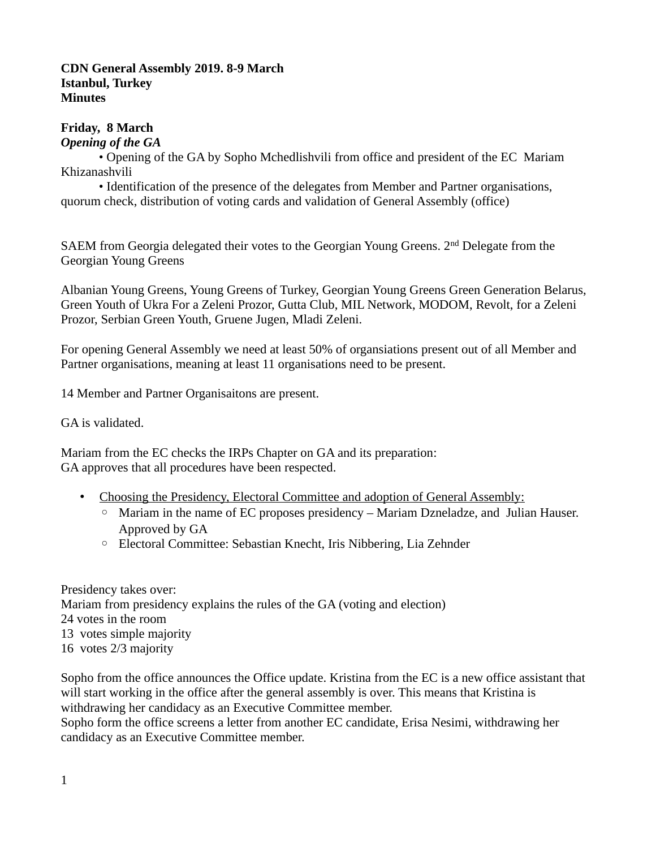### **CDN General Assembly 2019. 8-9 March Istanbul, Turkey Minutes**

# **Friday, 8 March**

## *Opening of the GA*

• Opening of the GA by Sopho Mchedlishvili from office and president of the EC Mariam Khizanashvili

• Identification of the presence of the delegates from Member and Partner organisations, quorum check, distribution of voting cards and validation of General Assembly (office)

SAEM from Georgia delegated their votes to the Georgian Young Greens. 2<sup>nd</sup> Delegate from the Georgian Young Greens

Albanian Young Greens, Young Greens of Turkey, Georgian Young Greens Green Generation Belarus, Green Youth of Ukra For a Zeleni Prozor, Gutta Club, MIL Network, MODOM, Revolt, for a Zeleni Prozor, Serbian Green Youth, Gruene Jugen, Mladi Zeleni.

For opening General Assembly we need at least 50% of organsiations present out of all Member and Partner organisations, meaning at least 11 organisations need to be present.

14 Member and Partner Organisaitons are present.

GA is validated.

Mariam from the EC checks the IRPs Chapter on GA and its preparation: GA approves that all procedures have been respected.

- Choosing the Presidency, Electoral Committee and adoption of General Assembly:
	- Mariam in the name of EC proposes presidency Mariam Dzneladze, and Julian Hauser. Approved by GA
	- Electoral Committee: Sebastian Knecht, Iris Nibbering, Lia Zehnder

Presidency takes over: Mariam from presidency explains the rules of the GA (voting and election) 24 votes in the room 13 votes simple majority 16 votes 2/3 majority

Sopho from the office announces the Office update. Kristina from the EC is a new office assistant that will start working in the office after the general assembly is over. This means that Kristina is withdrawing her candidacy as an Executive Committee member.

Sopho form the office screens a letter from another EC candidate, Erisa Nesimi, withdrawing her candidacy as an Executive Committee member.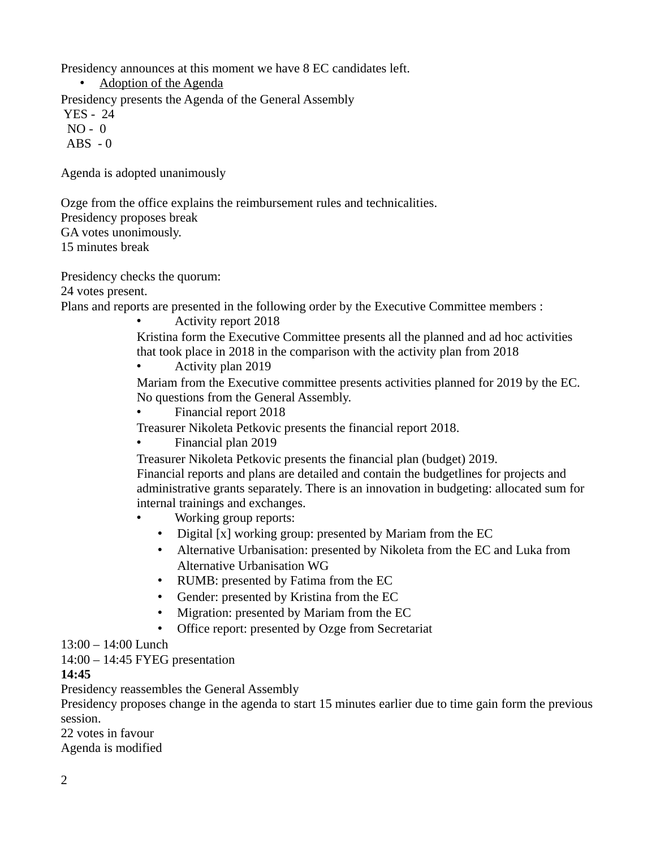Presidency announces at this moment we have 8 EC candidates left.

• Adoption of the Agenda

Presidency presents the Agenda of the General Assembly

YES - 24

NO - 0

 $ABS - 0$ 

Agenda is adopted unanimously

Ozge from the office explains the reimbursement rules and technicalities. Presidency proposes break GA votes unonimously. 15 minutes break

Presidency checks the quorum:

24 votes present.

Plans and reports are presented in the following order by the Executive Committee members :

• Activity report 2018

Kristina form the Executive Committee presents all the planned and ad hoc activities that took place in 2018 in the comparison with the activity plan from 2018

• Activity plan 2019

Mariam from the Executive committee presents activities planned for 2019 by the EC. No questions from the General Assembly.

• Financial report 2018

Treasurer Nikoleta Petkovic presents the financial report 2018.

• Financial plan 2019

Treasurer Nikoleta Petkovic presents the financial plan (budget) 2019.

Financial reports and plans are detailed and contain the budgetlines for projects and administrative grants separately. There is an innovation in budgeting: allocated sum for internal trainings and exchanges.

- Working group reports:
	- Digital [x] working group: presented by Mariam from the EC
	- Alternative Urbanisation: presented by Nikoleta from the EC and Luka from Alternative Urbanisation WG
	- RUMB: presented by Fatima from the EC
	- Gender: presented by Kristina from the EC
	- Migration: presented by Mariam from the EC
	- Office report: presented by Ozge from Secretariat

# 13:00 – 14:00 Lunch

14:00 – 14:45 FYEG presentation

# **14:45**

Presidency reassembles the General Assembly

Presidency proposes change in the agenda to start 15 minutes earlier due to time gain form the previous session.

22 votes in favour Agenda is modified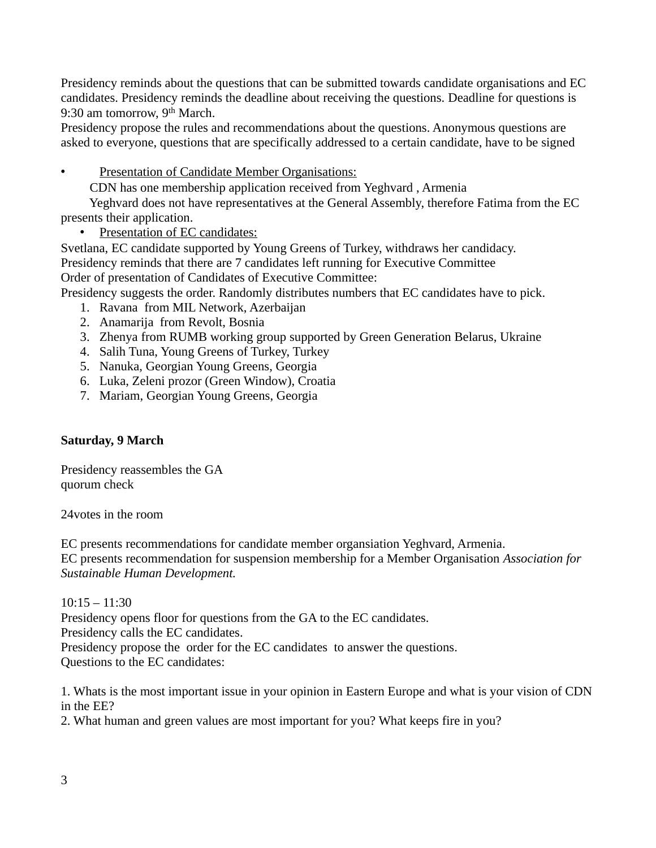Presidency reminds about the questions that can be submitted towards candidate organisations and EC candidates. Presidency reminds the deadline about receiving the questions. Deadline for questions is 9:30 am tomorrow, 9<sup>th</sup> March.

Presidency propose the rules and recommendations about the questions. Anonymous questions are asked to everyone, questions that are specifically addressed to a certain candidate, have to be signed

• Presentation of Candidate Member Organisations:

CDN has one membership application received from Yeghvard , Armenia

 Yeghvard does not have representatives at the General Assembly, therefore Fatima from the EC presents their application.

• Presentation of EC candidates:

Svetlana, EC candidate supported by Young Greens of Turkey, withdraws her candidacy. Presidency reminds that there are 7 candidates left running for Executive Committee Order of presentation of Candidates of Executive Committee:

Presidency suggests the order. Randomly distributes numbers that EC candidates have to pick.

- 1. Ravana from MIL Network, Azerbaijan
- 2. Anamarija from Revolt, Bosnia
- 3. Zhenya from RUMB working group supported by Green Generation Belarus, Ukraine
- 4. Salih Tuna, Young Greens of Turkey, Turkey
- 5. Nanuka, Georgian Young Greens, Georgia
- 6. Luka, Zeleni prozor (Green Window), Croatia
- 7. Mariam, Georgian Young Greens, Georgia

# **Saturday, 9 March**

Presidency reassembles the GA quorum check

24votes in the room

EC presents recommendations for candidate member organsiation Yeghvard, Armenia.

EC presents recommendation for suspension membership for a Member Organisation *Association for Sustainable Human Development.* 

 $10:15 - 11:30$ Presidency opens floor for questions from the GA to the EC candidates. Presidency calls the EC candidates. Presidency propose the order for the EC candidates to answer the questions. Questions to the EC candidates:

1. Whats is the most important issue in your opinion in Eastern Europe and what is your vision of CDN in the EE?

2. What human and green values are most important for you? What keeps fire in you?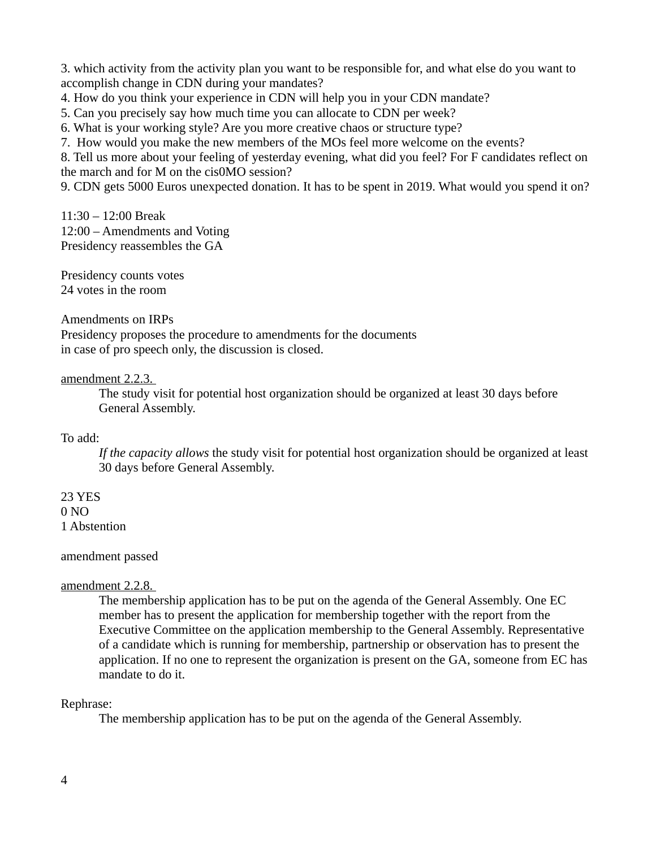3. which activity from the activity plan you want to be responsible for, and what else do you want to accomplish change in CDN during your mandates?

4. How do you think your experience in CDN will help you in your CDN mandate?

5. Can you precisely say how much time you can allocate to CDN per week?

6. What is your working style? Are you more creative chaos or structure type?

7. How would you make the new members of the MOs feel more welcome on the events?

8. Tell us more about your feeling of yesterday evening, what did you feel? For F candidates reflect on the march and for M on the cis0MO session?

9. CDN gets 5000 Euros unexpected donation. It has to be spent in 2019. What would you spend it on?

11:30 – 12:00 Break 12:00 – Amendments and Voting Presidency reassembles the GA

Presidency counts votes 24 votes in the room

Amendments on IRPs

Presidency proposes the procedure to amendments for the documents in case of pro speech only, the discussion is closed.

#### amendment 2.2.3.

The study visit for potential host organization should be organized at least 30 days before General Assembly.

To add:

*If the capacity allows* the study visit for potential host organization should be organized at least 30 days before General Assembly.

# 23 YES

0 NO

1 Abstention

#### amendment passed

### amendment 2.2.8.

The membership application has to be put on the agenda of the General Assembly. One EC member has to present the application for membership together with the report from the Executive Committee on the application membership to the General Assembly. Representative of a candidate which is running for membership, partnership or observation has to present the application. If no one to represent the organization is present on the GA, someone from EC has mandate to do it.

### Rephrase:

The membership application has to be put on the agenda of the General Assembly.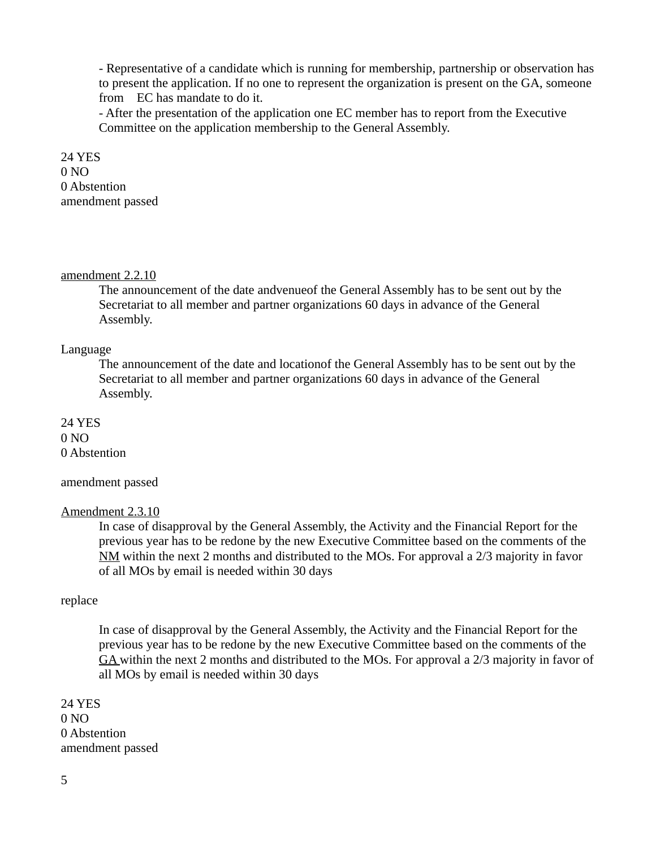- Representative of a candidate which is running for membership, partnership or observation has to present the application. If no one to represent the organization is present on the GA, someone from EC has mandate to do it.

- After the presentation of the application one EC member has to report from the Executive Committee on the application membership to the General Assembly.

24 YES 0 NO 0 Abstention amendment passed

#### amendment 2.2.10

The announcement of the date andvenueof the General Assembly has to be sent out by the Secretariat to all member and partner organizations 60 days in advance of the General Assembly.

#### Language

The announcement of the date and locationof the General Assembly has to be sent out by the Secretariat to all member and partner organizations 60 days in advance of the General Assembly.

24 YES 0 NO 0 Abstention

#### amendment passed

#### Amendment 2.3.10

In case of disapproval by the General Assembly, the Activity and the Financial Report for the previous year has to be redone by the new Executive Committee based on the comments of the NM within the next 2 months and distributed to the MOs. For approval a 2/3 majority in favor of all MOs by email is needed within 30 days

#### replace

In case of disapproval by the General Assembly, the Activity and the Financial Report for the previous year has to be redone by the new Executive Committee based on the comments of the GA within the next 2 months and distributed to the MOs. For approval a 2/3 majority in favor of all MOs by email is needed within 30 days

24 YES  $0 NQ$ 0 Abstention amendment passed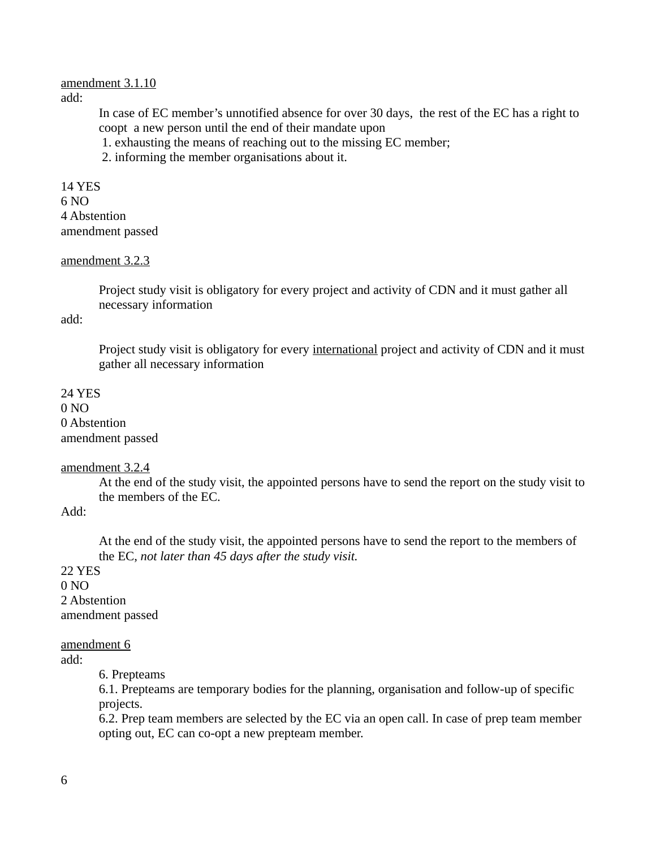#### amendment 3.1.10 add:

In case of EC member's unnotified absence for over 30 days, the rest of the EC has a right to coopt a new person until the end of their mandate upon

1. exhausting the means of reaching out to the missing EC member;

2. informing the member organisations about it.

14 YES 6 NO 4 Abstention amendment passed

#### amendment 3.2.3

Project study visit is obligatory for every project and activity of CDN and it must gather all necessary information

add:

Project study visit is obligatory for every international project and activity of CDN and it must gather all necessary information

# 24 YES 0 NO 0 Abstention amendment passed

### amendment 3.2.4

At the end of the study visit, the appointed persons have to send the report on the study visit to the members of the EC.

Add:

At the end of the study visit, the appointed persons have to send the report to the members of the EC, *not later than 45 days after the study visit.*

22 YES  $0 NQ$ 2 Abstention amendment passed

amendment 6

add:

6. Prepteams

6.1. Prepteams are temporary bodies for the planning, organisation and follow-up of specific projects.

6.2. Prep team members are selected by the EC via an open call. In case of prep team member opting out, EC can co-opt a new prepteam member.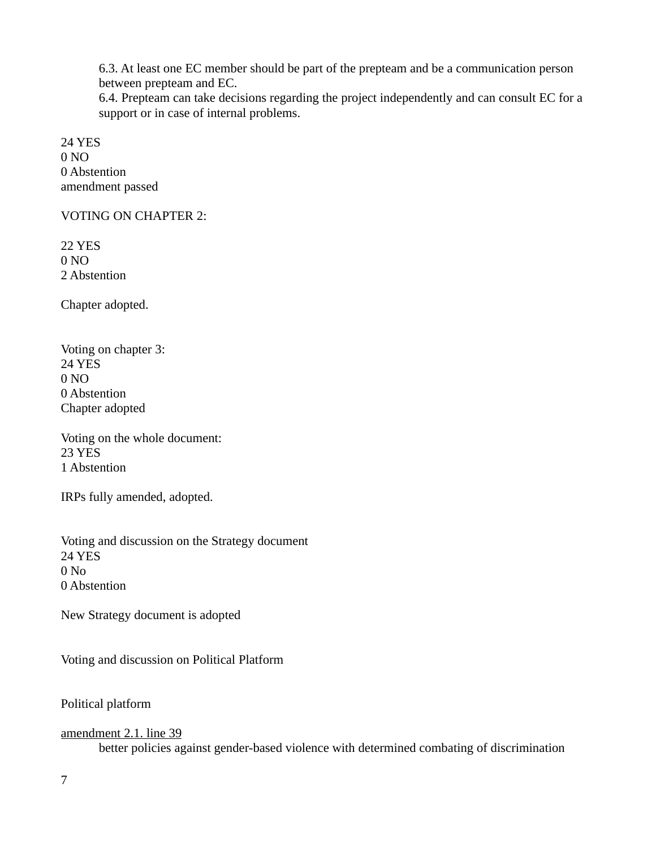6.3. At least one EC member should be part of the prepteam and be a communication person between prepteam and EC.

6.4. Prepteam can take decisions regarding the project independently and can consult EC for a support or in case of internal problems.

24 YES 0 NO 0 Abstention amendment passed

VOTING ON CHAPTER 2:

22 YES 0 NO 2 Abstention

Chapter adopted.

Voting on chapter 3: 24 YES  $0 NQ$ 0 Abstention Chapter adopted

Voting on the whole document: 23 YES 1 Abstention

IRPs fully amended, adopted.

Voting and discussion on the Strategy document 24 YES 0 No 0 Abstention

New Strategy document is adopted

Voting and discussion on Political Platform

Political platform

amendment 2.1. line 39 better policies against gender-based violence with determined combating of discrimination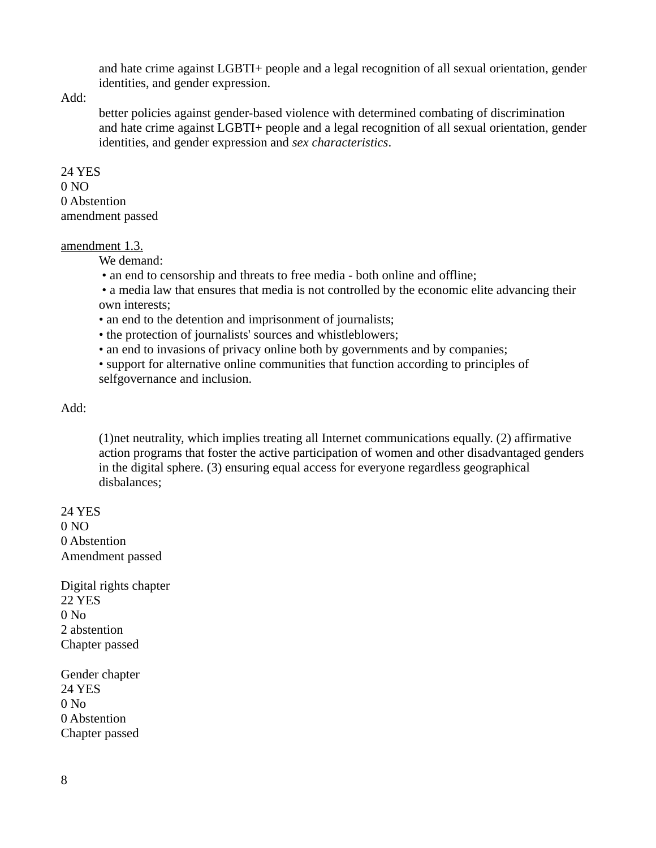and hate crime against LGBTI+ people and a legal recognition of all sexual orientation, gender identities, and gender expression.

Add:

better policies against gender-based violence with determined combating of discrimination and hate crime against LGBTI+ people and a legal recognition of all sexual orientation, gender identities, and gender expression and *sex characteristics*.

# 24 YES 0 NO 0 Abstention amendment passed

# amendment 1.3.

We demand:

• an end to censorship and threats to free media - both online and offline;

 • a media law that ensures that media is not controlled by the economic elite advancing their own interests;

• an end to the detention and imprisonment of journalists;

• the protection of journalists' sources and whistleblowers;

• an end to invasions of privacy online both by governments and by companies;

• support for alternative online communities that function according to principles of selfgovernance and inclusion.

# Add:

(1)net neutrality, which implies treating all Internet communications equally. (2) affirmative action programs that foster the active participation of women and other disadvantaged genders in the digital sphere. (3) ensuring equal access for everyone regardless geographical disbalances;

24 YES  $0 NQ$ 0 Abstention Amendment passed

Digital rights chapter 22 YES  $0 N<sub>0</sub>$ 2 abstention Chapter passed

Gender chapter 24 YES 0 No 0 Abstention Chapter passed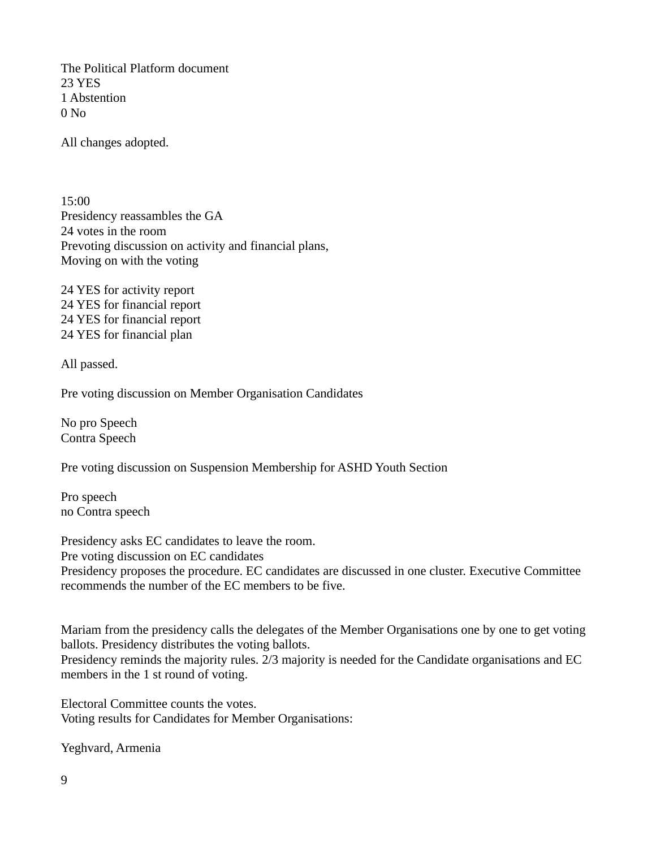The Political Platform document 23 YES 1 Abstention 0 No

All changes adopted.

15:00 Presidency reassambles the GA 24 votes in the room Prevoting discussion on activity and financial plans, Moving on with the voting

24 YES for activity report 24 YES for financial report 24 YES for financial report 24 YES for financial plan

All passed.

Pre voting discussion on Member Organisation Candidates

No pro Speech Contra Speech

Pre voting discussion on Suspension Membership for ASHD Youth Section

Pro speech no Contra speech

Presidency asks EC candidates to leave the room. Pre voting discussion on EC candidates Presidency proposes the procedure. EC candidates are discussed in one cluster. Executive Committee recommends the number of the EC members to be five.

Mariam from the presidency calls the delegates of the Member Organisations one by one to get voting ballots. Presidency distributes the voting ballots. Presidency reminds the majority rules. 2/3 majority is needed for the Candidate organisations and EC members in the 1 st round of voting.

Electoral Committee counts the votes. Voting results for Candidates for Member Organisations:

Yeghvard, Armenia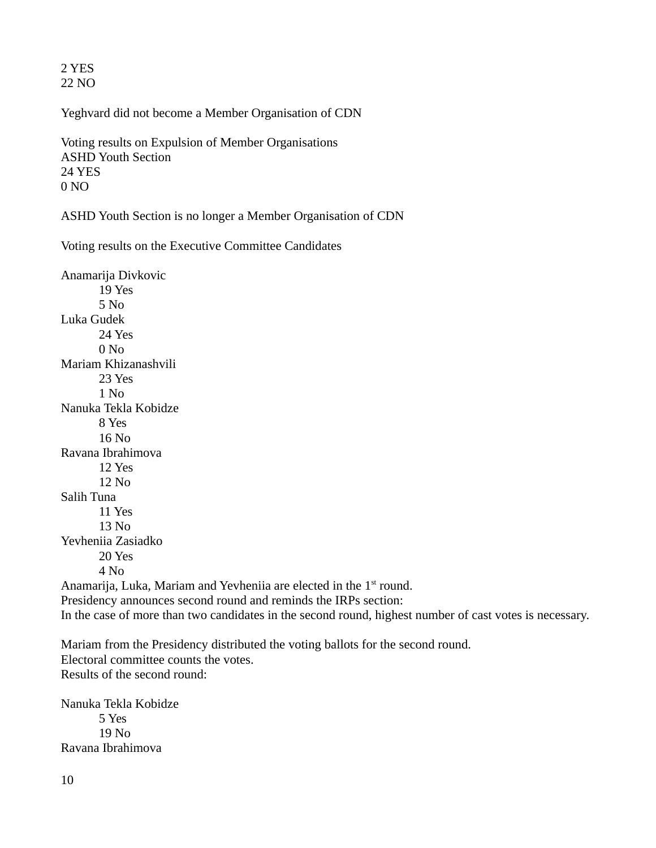2 YES 22 NO

Yeghvard did not become a Member Organisation of CDN

Voting results on Expulsion of Member Organisations ASHD Youth Section 24 YES 0 NO

ASHD Youth Section is no longer a Member Organisation of CDN

Voting results on the Executive Committee Candidates

Anamarija Divkovic 19 Yes 5 No Luka Gudek 24 Yes  $0 N<sub>0</sub>$ Mariam Khizanashvili 23 Yes  $1$  No. Nanuka Tekla Kobidze 8 Yes 16 No Ravana Ibrahimova 12 Yes 12 No Salih Tuna 11 Yes 13 No Yevheniia Zasiadko 20 Yes 4 No

Anamarija, Luka, Mariam and Yevheniia are elected in the 1<sup>st</sup> round. Presidency announces second round and reminds the IRPs section: In the case of more than two candidates in the second round, highest number of cast votes is necessary.

Mariam from the Presidency distributed the voting ballots for the second round. Electoral committee counts the votes. Results of the second round:

Nanuka Tekla Kobidze 5 Yes 19 No Ravana Ibrahimova